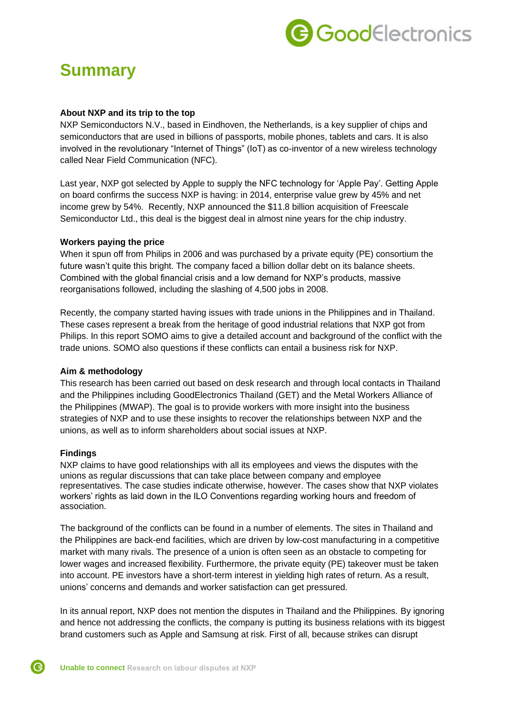

# **Summary**

#### **About NXP and its trip to the top**

NXP Semiconductors N.V., based in Eindhoven, the Netherlands, is a key supplier of chips and semiconductors that are used in billions of passports, mobile phones, tablets and cars. It is also involved in the revolutionary "Internet of Things" (IoT) as co-inventor of a new wireless technology called Near Field Communication (NFC).

Last year, NXP got selected by Apple to supply the NFC technology for 'Apple Pay'. Getting Apple on board confirms the success NXP is having: in 2014, enterprise value grew by 45% and net income grew by 54%. Recently, NXP announced the \$11.8 billion acquisition of Freescale Semiconductor Ltd., this deal is the biggest deal in almost nine years for the chip industry.

#### **Workers paying the price**

When it spun off from Philips in 2006 and was purchased by a private equity (PE) consortium the future wasn't quite this bright. The company faced a billion dollar debt on its balance sheets. Combined with the global financial crisis and a low demand for NXP's products, massive reorganisations followed, including the slashing of 4,500 jobs in 2008.

Recently, the company started having issues with trade unions in the Philippines and in Thailand. These cases represent a break from the heritage of good industrial relations that NXP got from Philips. In this report SOMO aims to give a detailed account and background of the conflict with the trade unions. SOMO also questions if these conflicts can entail a business risk for NXP.

### **Aim & methodology**

This research has been carried out based on desk research and through local contacts in Thailand and the Philippines including GoodElectronics Thailand (GET) and the Metal Workers Alliance of the Philippines (MWAP). The goal is to provide workers with more insight into the business strategies of NXP and to use these insights to recover the relationships between NXP and the unions, as well as to inform shareholders about social issues at NXP.

### **Findings**

NXP claims to have good relationships with all its employees and views the disputes with the unions as regular discussions that can take place between company and employee representatives. The case studies indicate otherwise, however. The cases show that NXP violates workers' rights as laid down in the ILO Conventions regarding working hours and freedom of association.

The background of the conflicts can be found in a number of elements. The sites in Thailand and the Philippines are back-end facilities, which are driven by low-cost manufacturing in a competitive market with many rivals. The presence of a union is often seen as an obstacle to competing for lower wages and increased flexibility. Furthermore, the private equity (PE) takeover must be taken into account. PE investors have a short-term interest in yielding high rates of return. As a result, unions' concerns and demands and worker satisfaction can get pressured.

In its annual report, NXP does not mention the disputes in Thailand and the Philippines. By ignoring and hence not addressing the conflicts, the company is putting its business relations with its biggest brand customers such as Apple and Samsung at risk. First of all, because strikes can disrupt